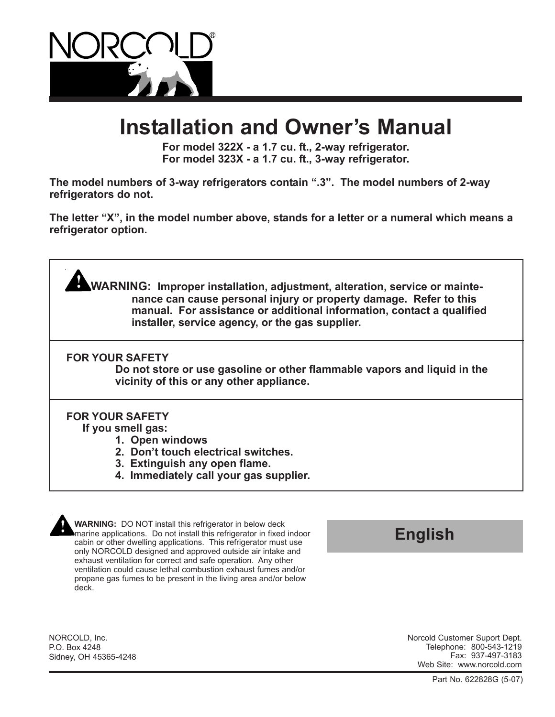

# **Installation and Owner's Manual**

**For model 322X - a 1.7 cu. ft., 2-way refrigerator. For model 323X - a 1.7 cu. ft., 3-way refrigerator.**

**The model numbers of 3-way refrigerators contain ".3". The model numbers of 2-way refrigerators do not.**

**The letter "X", in the model number above, stands for a letter or a numeral which means a refrigerator option.**

**WARNING: Improper installation, adjustment, alteration, service or maintenance can cause personal injury or property damage. Refer to this manual. For assistance or additional information, contact a qualified installer, service agency, or the gas supplier.**

**FOR YOUR SAFETY**

**Do not store or use gasoline or other flammable vapors and liquid in the vicinity of this or any other appliance.**

## **FOR YOUR SAFETY**

**If you smell gas:**

- **1. Open windows**
- **2. Don't touch electrical switches.**
- **3. Extinguish any open flame.**
- **4. Immediately call your gas supplier.**

**WARNING:** DO NOT install this refrigerator in below deck marine applications. Do not install this refrigerator in fixed indoor cabin or other dwelling applications. This refrigerator must use only NORCOLD designed and approved outside air intake and exhaust ventilation for correct and safe operation. Any other ventilation could cause lethal combustion exhaust fumes and/or propane gas fumes to be present in the living area and/or below deck.

# **English**

NORCOLD, Inc. P.O. Box 4248 Sidney, OH 45365-4248 Norcold Customer Suport Dept. Telephone: 800-543-1219 Fax: 937-497-3183 Web Site: www.norcold.com

Part No. 622828G (5-07)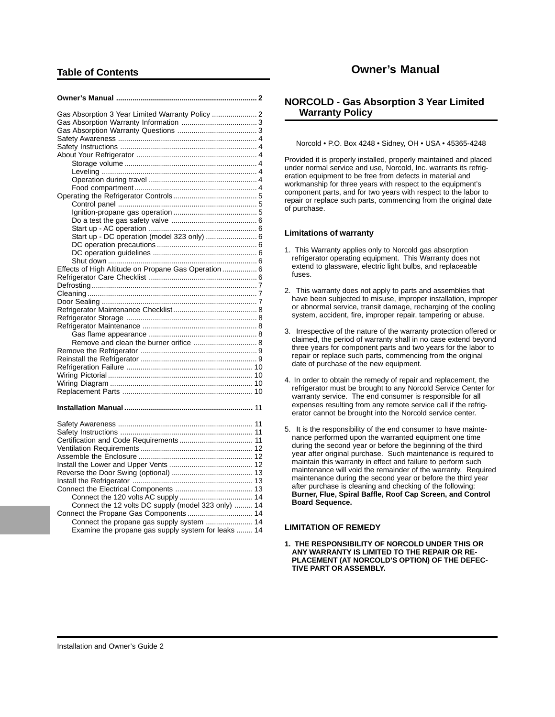## **Table of Contents**

| Gas Absorption 3 Year Limited Warranty Policy  2    |  |
|-----------------------------------------------------|--|
|                                                     |  |
|                                                     |  |
|                                                     |  |
|                                                     |  |
|                                                     |  |
|                                                     |  |
|                                                     |  |
|                                                     |  |
|                                                     |  |
|                                                     |  |
|                                                     |  |
|                                                     |  |
|                                                     |  |
|                                                     |  |
| Start up - DC operation (model 323 only)  6         |  |
|                                                     |  |
|                                                     |  |
|                                                     |  |
| Effects of High Altitude on Propane Gas Operation 6 |  |
|                                                     |  |
|                                                     |  |
|                                                     |  |
|                                                     |  |
|                                                     |  |
|                                                     |  |
|                                                     |  |
| Remove and clean the burner orifice  8              |  |
|                                                     |  |
|                                                     |  |
|                                                     |  |
|                                                     |  |
|                                                     |  |
|                                                     |  |
|                                                     |  |
|                                                     |  |

| Connect the 12 volts DC supply (model 323 only)  14 |  |
|-----------------------------------------------------|--|
|                                                     |  |
|                                                     |  |
| Examine the propane gas supply system for leaks  14 |  |

## **Owner's Manual**

## **NORCOLD - Gas Absorption 3 Year Limited Warranty Policy**

Norcold • P.O. Box 4248 • Sidney, OH • USA • 45365-4248

Provided it is properly installed, properly maintained and placed under normal service and use, Norcold, Inc. warrants its refrigeration equipment to be free from defects in material and workmanship for three years with respect to the equipment's component parts, and for two years with respect to the labor to repair or replace such parts, commencing from the original date of purchase.

#### **Limitations of warranty**

- 1. This Warranty applies only to Norcold gas absorption refrigerator operating equipment. This Warranty does not extend to glassware, electric light bulbs, and replaceable fuses.
- 2. This warranty does not apply to parts and assemblies that have been subjected to misuse, improper installation, improper or abnormal service, transit damage, recharging of the cooling system, accident, fire, improper repair, tampering or abuse.
- 3. Irrespective of the nature of the warranty protection offered or claimed, the period of warranty shall in no case extend beyond three years for component parts and two years for the labor to repair or replace such parts, commencing from the original date of purchase of the new equipment.
- 4. In order to obtain the remedy of repair and replacement, the refrigerator must be brought to any Norcold Service Center for warranty service. The end consumer is responsible for all expenses resulting from any remote service call if the refrigerator cannot be brought into the Norcold service center.
- 5. It is the responsibility of the end consumer to have maintenance performed upon the warranted equipment one time during the second year or before the beginning of the third year after original purchase. Such maintenance is required to maintain this warranty in effect and failure to perform such maintenance will void the remainder of the warranty. Required maintenance during the second year or before the third year after purchase is cleaning and checking of the following: **Burner, Flue, Spiral Baffle, Roof Cap Screen, and Control Board Sequence.**

### **LIMITATION OF REMEDY**

**1. THE RESPONSIBILITY OF NORCOLD UNDER THIS OR ANY WARRANTY IS LIMITED TO THE REPAIR OR RE-PLACEMENT (AT NORCOLD'S OPTION) OF THE DEFEC-TIVE PART OR ASSEMBLY.**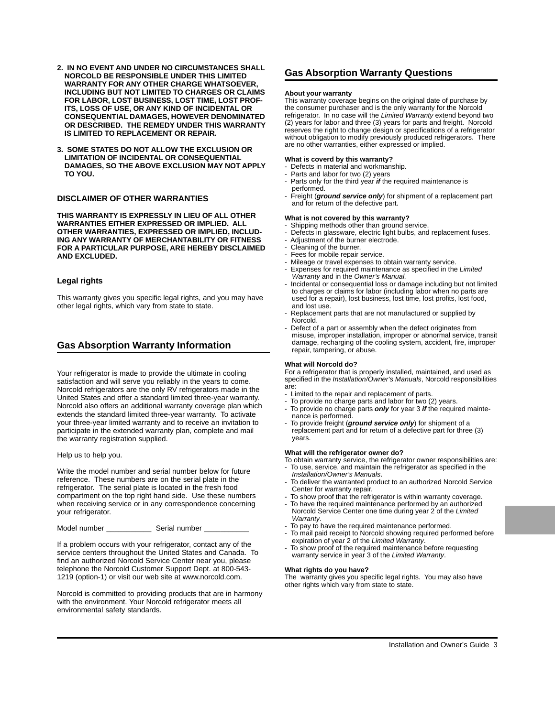- **2. IN NO EVENT AND UNDER NO CIRCUMSTANCES SHALL NORCOLD BE RESPONSIBLE UNDER THIS LIMITED WARRANTY FOR ANY OTHER CHARGE WHATSOEVER, INCLUDING BUT NOT LIMITED TO CHARGES OR CLAIMS FOR LABOR, LOST BUSINESS, LOST TIME, LOST PROF-ITS, LOSS OF USE, OR ANY KIND OF INCIDENTAL OR CONSEQUENTIAL DAMAGES, HOWEVER DENOMINATED OR DESCRIBED. THE REMEDY UNDER THIS WARRANTY IS LIMITED TO REPLACEMENT OR REPAIR.**
- **3. SOME STATES DO NOT ALLOW THE EXCLUSION OR LIMITATION OF INCIDENTAL OR CONSEQUENTIAL DAMAGES, SO THE ABOVE EXCLUSION MAY NOT APPLY TO YOU.**

### **DISCLAIMER OF OTHER WARRANTIES**

**THIS WARRANTY IS EXPRESSLY IN LIEU OF ALL OTHER WARRANTIES EITHER EXPRESSED OR IMPLIED. ALL OTHER WARRANTIES, EXPRESSED OR IMPLIED, INCLUD-ING ANY WARRANTY OF MERCHANTABILITY OR FITNESS FOR A PARTICULAR PURPOSE, ARE HEREBY DISCLAIMED AND EXCLUDED.**

#### **Legal rights**

This warranty gives you specific legal rights, and you may have other legal rights, which vary from state to state.

## **Gas Absorption Warranty Information**

Your refrigerator is made to provide the ultimate in cooling satisfaction and will serve you reliably in the years to come. Norcold refrigerators are the only RV refrigerators made in the United States and offer a standard limited three-year warranty. Norcold also offers an additional warranty coverage plan which extends the standard limited three-year warranty. To activate your three-year limited warranty and to receive an invitation to participate in the extended warranty plan, complete and mail the warranty registration supplied.

Help us to help you.

Write the model number and serial number below for future reference. These numbers are on the serial plate in the refrigerator. The serial plate is located in the fresh food compartment on the top right hand side. Use these numbers when receiving service or in any correspondence concerning your refrigerator.

Model number \_\_\_\_\_\_\_\_\_\_\_\_\_\_\_\_\_ Serial number

If a problem occurs with your refrigerator, contact any of the service centers throughout the United States and Canada. To find an authorized Norcold Service Center near you, please telephone the Norcold Customer Support Dept. at 800-543- 1219 (option-1) or visit our web site at www.norcold.com.

Norcold is committed to providing products that are in harmony with the environment. Your Norcold refrigerator meets all environmental safety standards.

### **Gas Absorption Warranty Questions**

#### **About your warranty**

This warranty coverage begins on the original date of purchase by the consumer purchaser and is the only warranty for the Norcold refrigerator. In no case will the Limited Warranty extend beyond two (2) years for labor and three (3) years for parts and freight. Norcold reserves the right to change design or specifications of a refrigerator without obligation to modify previously produced refrigerators. There are no other warranties, either expressed or implied.

#### **What is coverd by this warranty?**

- Defects in material and workmanship.
- Parts and labor for two (2) years
- Parts only for the third year **if** the required maintenance is performed.
- Freight (**ground service only**) for shipment of a replacement part and for return of the defective part.

#### **What is not covered by this warranty?**

- Shipping methods other than ground service.
- Defects in glassware, electric light bulbs, and replacement fuses.
- Adjustment of the burner electrode.
- Cleaning of the burner.
- Fees for mobile repair service.
- Mileage or travel expenses to obtain warranty service.
- Expenses for required maintenance as specified in the Limited Warranty and in the Owner's Manual.
- Incidental or consequential loss or damage including but not limited to charges or claims for labor (including labor when no parts are used for a repair), lost business, lost time, lost profits, lost food, and lost use.
- Replacement parts that are not manufactured or supplied by Norcold.
- Defect of a part or assembly when the defect originates from misuse, improper installation, improper or abnormal service, transit damage, recharging of the cooling system, accident, fire, improper repair, tampering, or abuse.

#### **What will Norcold do?**

For a refrigerator that is properly installed, maintained, and used as specified in the Installation/Owner's Manuals, Norcold responsibilities are:

- Limited to the repair and replacement of parts.
- To provide no charge parts and labor for two (2) years.
- To provide no charge parts **only** for year 3 **if** the required maintenance is performed.
- To provide freight (**ground service only**) for shipment of a replacement part and for return of a defective part for three (3) years.

#### **What will the refrigerator owner do?**

- To obtain warranty service, the refrigerator owner responsibilities are:
- To use, service, and maintain the refrigerator as specified in the Installation/Owner's Manuals.
- To deliver the warranted product to an authorized Norcold Service Center for warranty repair.
- To show proof that the refrigerator is within warranty coverage.
- To have the required maintenance performed by an authorized Norcold Service Center one time during year 2 of the Limited Warranty.
- To pay to have the required maintenance performed.
- To mail paid receipt to Norcold showing required performed before expiration of year 2 of the Limited Warranty.
- To show proof of the required maintenance before requesting warranty service in year 3 of the Limited Warranty.

#### **What rights do you have?**

The warranty gives you specific legal rights. You may also have other rights which vary from state to state.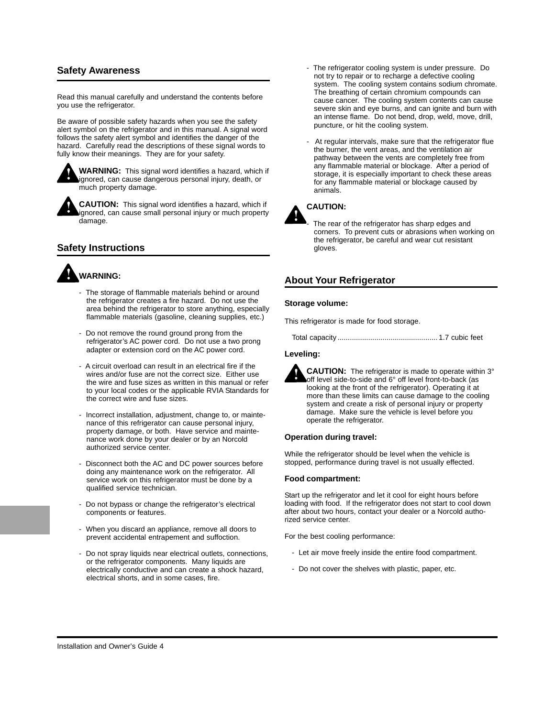## **Safety Awareness**

Read this manual carefully and understand the contents before you use the refrigerator.

Be aware of possible safety hazards when you see the safety alert symbol on the refrigerator and in this manual. A signal word follows the safety alert symbol and identifies the danger of the hazard. Carefully read the descriptions of these signal words to fully know their meanings. They are for your safety.



**WARNING:** This signal word identifies a hazard, which if ignored, can cause dangerous personal injury, death, or much property damage.

**CAUTION:** This signal word identifies a hazard, which if ignored, can cause small personal injury or much property damage.

## **Safety Instructions**

# **WARNING:**

- The storage of flammable materials behind or around the refrigerator creates a fire hazard. Do not use the area behind the refrigerator to store anything, especially flammable materials (gasoline, cleaning supplies, etc.)
- Do not remove the round ground prong from the refrigerator's AC power cord. Do not use a two prong adapter or extension cord on the AC power cord.
- A circuit overload can result in an electrical fire if the wires and/or fuse are not the correct size. Either use the wire and fuse sizes as written in this manual or refer to your local codes or the applicable RVIA Standards for the correct wire and fuse sizes.
- Incorrect installation, adjustment, change to, or maintenance of this refrigerator can cause personal injury, property damage, or both. Have service and maintenance work done by your dealer or by an Norcold authorized service center.
- Disconnect both the AC and DC power sources before doing any maintenance work on the refrigerator. All service work on this refrigerator must be done by a qualified service technician.
- Do not bypass or change the refrigerator's electrical components or features.
- When you discard an appliance, remove all doors to prevent accidental entrapement and suffoction.
- Do not spray liquids near electrical outlets, connections, or the refrigerator components. Many liquids are electrically conductive and can create a shock hazard, electrical shorts, and in some cases, fire.
- The refrigerator cooling system is under pressure. Do not try to repair or to recharge a defective cooling system. The cooling system contains sodium chromate. The breathing of certain chromium compounds can cause cancer. The cooling system contents can cause severe skin and eye burns, and can ignite and burn with an intense flame. Do not bend, drop, weld, move, drill, puncture, or hit the cooling system.
- At regular intervals, make sure that the refrigerator flue the burner, the vent areas, and the ventilation air pathway between the vents are completely free from any flammable material or blockage. After a period of storage, it is especially important to check these areas for any flammable material or blockage caused by animals.

## **CAUTION:**

The rear of the refrigerator has sharp edges and corners. To prevent cuts or abrasions when working on the refrigerator, be careful and wear cut resistant gloves.

## **About Your Refrigerator**

#### **Storage volume:**

This refrigerator is made for food storage.

Total capacity ................................................. 1.7 cubic feet

#### **Leveling:**



**CAUTION:** The refrigerator is made to operate within 3° off level side-to-side and 6° off level front-to-back (as looking at the front of the refrigerator). Operating it at more than these limits can cause damage to the cooling system and create a risk of personal injury or property damage. Make sure the vehicle is level before you operate the refrigerator.

#### **Operation during travel:**

While the refrigerator should be level when the vehicle is stopped, performance during travel is not usually effected.

#### **Food compartment:**

Start up the refrigerator and let it cool for eight hours before loading with food. If the refrigerator does not start to cool down after about two hours, contact your dealer or a Norcold authorized service center.

For the best cooling performance:

- Let air move freely inside the entire food compartment.
- Do not cover the shelves with plastic, paper, etc.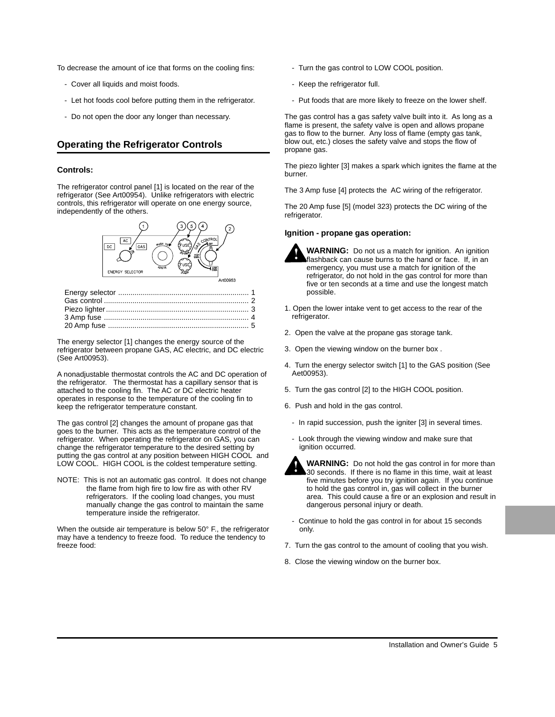To decrease the amount of ice that forms on the cooling fins:

- Cover all liquids and moist foods.
- Let hot foods cool before putting them in the refrigerator.
- Do not open the door any longer than necessary.

## **Operating the Refrigerator Controls**

#### **Controls:**

The refrigerator control panel [1] is located on the rear of the refrigerator (See Art00954). Unlike refrigerators with electric controls, this refrigerator will operate on one energy source, independently of the others.



The energy selector [1] changes the energy source of the refrigerator between propane GAS, AC electric, and DC electric (See Art00953).

A nonadjustable thermostat controls the AC and DC operation of the refrigerator. The thermostat has a capillary sensor that is attached to the cooling fin. The AC or DC electric heater operates in response to the temperature of the cooling fin to keep the refrigerator temperature constant.

The gas control [2] changes the amount of propane gas that goes to the burner. This acts as the temperature control of the refrigerator. When operating the refrigerator on GAS, you can change the refrigerator temperature to the desired setting by putting the gas control at any position between HIGH COOL and LOW COOL. HIGH COOL is the coldest temperature setting.

NOTE: This is not an automatic gas control. It does not change the flame from high fire to low fire as with other RV refrigerators. If the cooling load changes, you must manually change the gas control to maintain the same temperature inside the refrigerator.

When the outside air temperature is below 50° F., the refrigerator may have a tendency to freeze food. To reduce the tendency to freeze food:

- Turn the gas control to LOW COOL position.
- Keep the refrigerator full.
- Put foods that are more likely to freeze on the lower shelf.

The gas control has a gas safety valve built into it. As long as a flame is present, the safety valve is open and allows propane gas to flow to the burner. Any loss of flame (empty gas tank, blow out, etc.) closes the safety valve and stops the flow of propane gas.

The piezo lighter [3] makes a spark which ignites the flame at the burner.

The 3 Amp fuse [4] protects the AC wiring of the refrigerator.

The 20 Amp fuse [5] (model 323) protects the DC wiring of the refrigerator.

#### **Ignition - propane gas operation:**



**WARNING:** Do not us a match for ignition. An ignition flashback can cause burns to the hand or face. If, in an emergency, you must use a match for ignition of the refrigerator, do not hold in the gas control for more than five or ten seconds at a time and use the longest match possible.

- 1. Open the lower intake vent to get access to the rear of the refrigerator.
- 2. Open the valve at the propane gas storage tank.
- 3. Open the viewing window on the burner box .
- 4. Turn the energy selector switch [1] to the GAS position (See Aet00953).
- 5. Turn the gas control [2] to the HIGH COOL position.
- 6. Push and hold in the gas control.
	- In rapid succession, push the igniter [3] in several times.
	- Look through the viewing window and make sure that ignition occurred.



**WARNING:** Do not hold the gas control in for more than 30 seconds. If there is no flame in this time, wait at least five minutes before you try ignition again. If you continue to hold the gas control in, gas will collect in the burner area. This could cause a fire or an explosion and result in dangerous personal injury or death.

- Continue to hold the gas control in for about 15 seconds only.
- 7. Turn the gas control to the amount of cooling that you wish.
- 8. Close the viewing window on the burner box.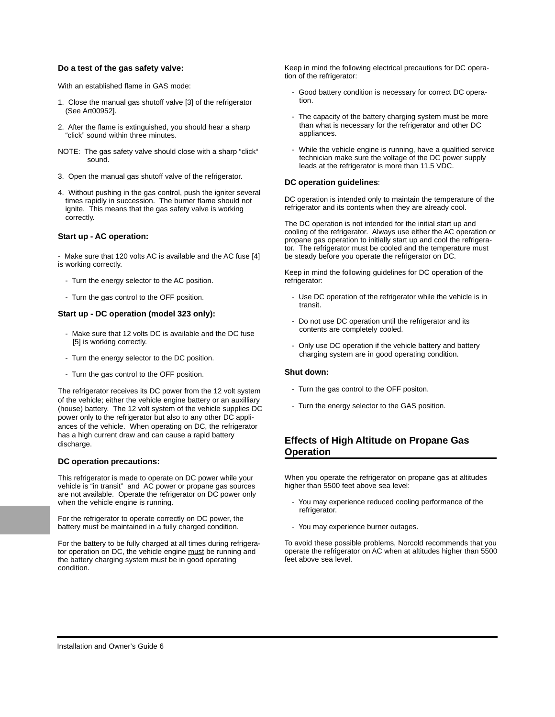#### **Do a test of the gas safety valve:**

With an established flame in GAS mode:

- 1. Close the manual gas shutoff valve [3] of the refrigerator (See Art00952].
- 2. After the flame is extinguished, you should hear a sharp "click" sound within three minutes.
- NOTE: The gas safety valve should close with a sharp "click" sound.
- 3. Open the manual gas shutoff valve of the refrigerator.
- 4. Without pushing in the gas control, push the igniter several times rapidly in succession. The burner flame should not ignite. This means that the gas safety valve is working correctly.

#### **Start up - AC operation:**

- Make sure that 120 volts AC is available and the AC fuse [4] is working correctly.

- Turn the energy selector to the AC position.
- Turn the gas control to the OFF position.

#### **Start up - DC operation (model 323 only):**

- Make sure that 12 volts DC is available and the DC fuse [5] is working correctly.
- Turn the energy selector to the DC position.
- Turn the gas control to the OFF position.

The refrigerator receives its DC power from the 12 volt system of the vehicle; either the vehicle engine battery or an auxilliary (house) battery. The 12 volt system of the vehicle supplies DC power only to the refrigerator but also to any other DC appliances of the vehicle. When operating on DC, the refrigerator has a high current draw and can cause a rapid battery discharge.

#### **DC operation precautions:**

This refrigerator is made to operate on DC power while your vehicle is "in transit" and AC power or propane gas sources are not available. Operate the refrigerator on DC power only when the vehicle engine is running.

For the refrigerator to operate correctly on DC power, the battery must be maintained in a fully charged condition.

For the battery to be fully charged at all times during refrigerator operation on DC, the vehicle engine must be running and the battery charging system must be in good operating condition.

Keep in mind the following electrical precautions for DC operation of the refrigerator:

- Good battery condition is necessary for correct DC operation.
- The capacity of the battery charging system must be more than what is necessary for the refrigerator and other DC appliances.
- While the vehicle engine is running, have a qualified service technician make sure the voltage of the DC power supply leads at the refrigerator is more than 11.5 VDC.

#### **DC operation guidelines**:

DC operation is intended only to maintain the temperature of the refrigerator and its contents when they are already cool.

The DC operation is not intended for the initial start up and cooling of the refrigerator. Always use either the AC operation or propane gas operation to initially start up and cool the refrigerator. The refrigerator must be cooled and the temperature must be steady before you operate the refrigerator on DC.

Keep in mind the following guidelines for DC operation of the refrigerator:

- Use DC operation of the refrigerator while the vehicle is in transit.
- Do not use DC operation until the refrigerator and its contents are completely cooled.
- Only use DC operation if the vehicle battery and battery charging system are in good operating condition.

#### **Shut down:**

- Turn the gas control to the OFF positon.
- Turn the energy selector to the GAS position.

## **Effects of High Altitude on Propane Gas Operation**

When you operate the refrigerator on propane gas at altitudes higher than 5500 feet above sea level:

- You may experience reduced cooling performance of the refrigerator.
- You may experience burner outages.

To avoid these possible problems, Norcold recommends that you operate the refrigerator on AC when at altitudes higher than 5500 feet above sea level.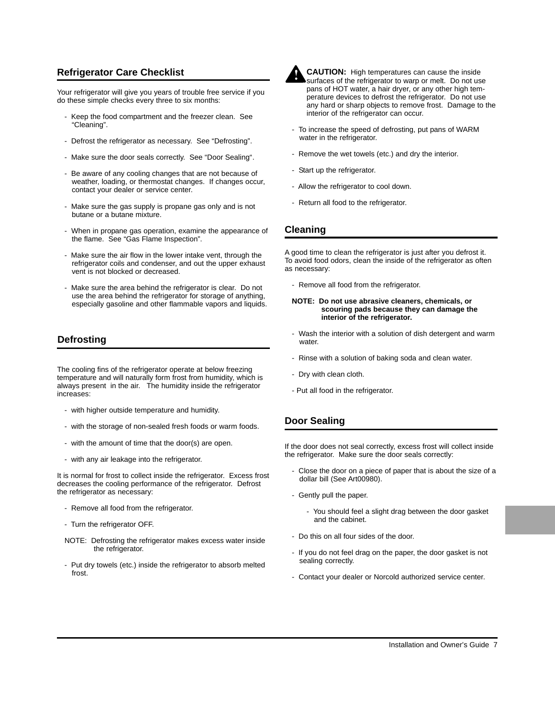## **Refrigerator Care Checklist**

Your refrigerator will give you years of trouble free service if you do these simple checks every three to six months:

- Keep the food compartment and the freezer clean. See "Cleaning".
- Defrost the refrigerator as necessary. See "Defrosting".
- Make sure the door seals correctly. See "Door Sealing".
- Be aware of any cooling changes that are not because of weather, loading, or thermostat changes. If changes occur, contact your dealer or service center.
- Make sure the gas supply is propane gas only and is not butane or a butane mixture.
- When in propane gas operation, examine the appearance of the flame. See "Gas Flame Inspection".
- Make sure the air flow in the lower intake vent, through the refrigerator coils and condenser, and out the upper exhaust vent is not blocked or decreased.
- Make sure the area behind the refrigerator is clear. Do not use the area behind the refrigerator for storage of anything, especially gasoline and other flammable vapors and liquids.

## **Defrosting**

The cooling fins of the refrigerator operate at below freezing temperature and will naturally form frost from humidity, which is always present in the air. The humidity inside the refrigerator increases:

- with higher outside temperature and humidity.
- with the storage of non-sealed fresh foods or warm foods.
- with the amount of time that the door(s) are open.
- with any air leakage into the refrigerator.

It is normal for frost to collect inside the refrigerator. Excess frost decreases the cooling performance of the refrigerator. Defrost the refrigerator as necessary:

- Remove all food from the refrigerator.
- Turn the refrigerator OFF.

NOTE: Defrosting the refrigerator makes excess water inside the refrigerator.

- Put dry towels (etc.) inside the refrigerator to absorb melted frost.



**CAUTION:** High temperatures can cause the inside surfaces of the refrigerator to warp or melt. Do not use pans of HOT water, a hair dryer, or any other high temperature devices to defrost the refrigerator. Do not use any hard or sharp objects to remove frost. Damage to the interior of the refrigerator can occur.

- To increase the speed of defrosting, put pans of WARM water in the refrigerator.
- Remove the wet towels (etc.) and dry the interior.
- Start up the refrigerator.
- Allow the refrigerator to cool down.
- Return all food to the refrigerator.

## **Cleaning**

A good time to clean the refrigerator is just after you defrost it. To avoid food odors, clean the inside of the refrigerator as often as necessary:

- Remove all food from the refrigerator.

#### **NOTE: Do not use abrasive cleaners, chemicals, or scouring pads because they can damage the interior of the refrigerator.**

- Wash the interior with a solution of dish detergent and warm water
- Rinse with a solution of baking soda and clean water.
- Dry with clean cloth.
- Put all food in the refrigerator.

## **Door Sealing**

If the door does not seal correctly, excess frost will collect inside the refrigerator. Make sure the door seals correctly:

- Close the door on a piece of paper that is about the size of a dollar bill (See Art00980).
- Gently pull the paper.
	- You should feel a slight drag between the door gasket and the cabinet.
- Do this on all four sides of the door.
- If you do not feel drag on the paper, the door gasket is not sealing correctly.
- Contact your dealer or Norcold authorized service center.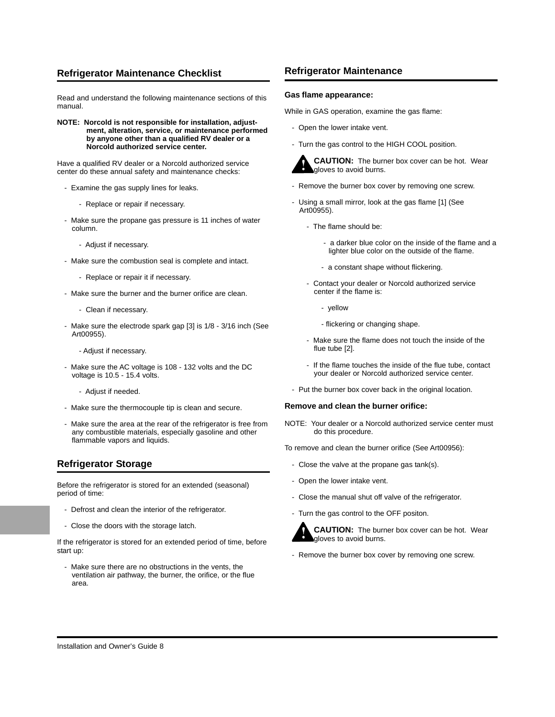## **Refrigerator Maintenance Checklist**

Read and understand the following maintenance sections of this manual.

**NOTE: Norcold is not responsible for installation, adjustment, alteration, service, or maintenance performed by anyone other than a qualified RV dealer or a Norcold authorized service center.**

Have a qualified RV dealer or a Norcold authorized service center do these annual safety and maintenance checks:

- Examine the gas supply lines for leaks.
	- Replace or repair if necessary.
- Make sure the propane gas pressure is 11 inches of water column.
	- Adjust if necessary.
- Make sure the combustion seal is complete and intact.
	- Replace or repair it if necessary.
- Make sure the burner and the burner orifice are clean.
	- Clean if necessary.
- Make sure the electrode spark gap [3] is 1/8 3/16 inch (See Art00955).
	- Adjust if necessary.
- Make sure the AC voltage is 108 132 volts and the DC voltage is 10.5 - 15.4 volts.
	- Adjust if needed.
- Make sure the thermocouple tip is clean and secure.
- Make sure the area at the rear of the refrigerator is free from any combustible materials, especially gasoline and other flammable vapors and liquids.

## **Refrigerator Storage**

Before the refrigerator is stored for an extended (seasonal) period of time:

- Defrost and clean the interior of the refrigerator.
- Close the doors with the storage latch.

If the refrigerator is stored for an extended period of time, before start up:

- Make sure there are no obstructions in the vents, the ventilation air pathway, the burner, the orifice, or the flue area.

#### **Refrigerator Maintenance**

#### **Gas flame appearance:**

While in GAS operation, examine the gas flame:

- Open the lower intake vent.
- Turn the gas control to the HIGH COOL position.



**CAUTION:** The burner box cover can be hot. Wear gloves to avoid burns.

- Remove the burner box cover by removing one screw.
- Using a small mirror, look at the gas flame [1] (See Art00955).
	- The flame should be:
		- a darker blue color on the inside of the flame and a lighter blue color on the outside of the flame.
		- a constant shape without flickering.
	- Contact your dealer or Norcold authorized service center if the flame is:
		- yellow
		- flickering or changing shape.
	- Make sure the flame does not touch the inside of the flue tube [2].
	- If the flame touches the inside of the flue tube, contact your dealer or Norcold authorized service center.
- Put the burner box cover back in the original location.

#### **Remove and clean the burner orifice:**

NOTE: Your dealer or a Norcold authorized service center must do this procedure.

To remove and clean the burner orifice (See Art00956):

- Close the valve at the propane gas tank(s).
- Open the lower intake vent.
- Close the manual shut off valve of the refrigerator.
- Turn the gas control to the OFF positon.



- Remove the burner box cover by removing one screw.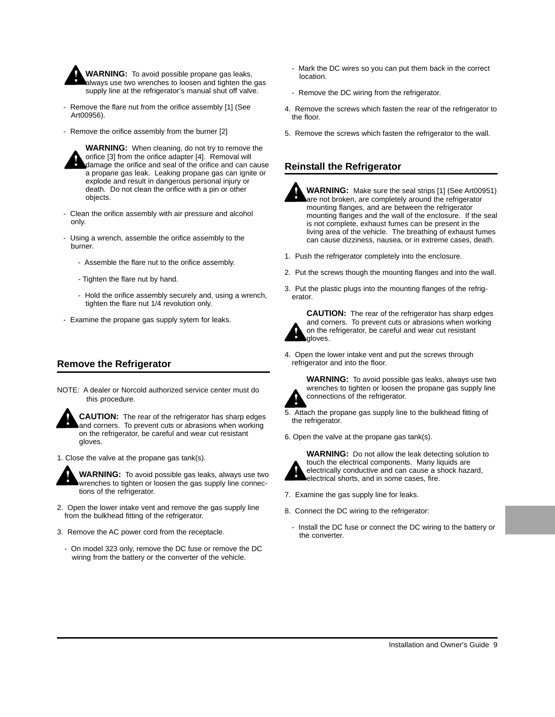

**WARNING:** To avoid possible propane gas leaks, always use two wrenches to loosen and tighten the gas supply line at the refrigerator's manual shut off valve.

- Remove the flare nut from the orifice assembly [1] (See Art00956).
- Remove the orifice assembly from the burner [2]



**WARNING:** When cleaning, do not try to remove the orifice [3] from the orifice adapter [4]. Removal will damage the orifice and seal of the orifice and can cause a propane gas leak. Leaking propane gas can ignite or explode and result in dangerous personal injury or death. Do not clean the orifice with a pin or other objects.

- Clean the orifice assembly with air pressure and alcohol only.
- Using a wrench, assemble the orifice assembly to the burner.
	- Assemble the flare nut to the orifice assembly.
	- Tighten the flare nut by hand.
	- Hold the orifice assembly securely and, using a wrench, tighten the flare nut 1/4 revolution only.
- Examine the propane gas supply sytem for leaks.

## **Remove the Refrigerator**

NOTE: A dealer or Norcold authorized service center must do this procedure.

**CAUTION:** The rear of the refrigerator has sharp edges and corners. To prevent cuts or abrasions when working on the refrigerator, be careful and wear cut resistant gloves.

1. Close the valve at the propane gas tank(s).



**WARNING:** To avoid possible gas leaks, always use two wrenches to tighten or loosen the gas supply line connections of the refrigerator.

- 2. Open the lower intake vent and remove the gas supply line from the bulkhead fitting of the refrigerator.
- 3. Remove the AC power cord from the receptacle.
	- On model 323 only, remove the DC fuse or remove the DC wiring from the battery or the converter of the vehicle.
- Mark the DC wires so you can put them back in the correct location.
- Remove the DC wiring from the refrigerator.
- 4. Remove the screws which fasten the rear of the refrigerator to the floor.
- 5. Remove the screws which fasten the refrigerator to the wall.

## **Reinstall the Refrigerator**



**WARNING:** Make sure the seal strips [1] (See Art00951) are not broken, are completely around the refrigerator mounting flanges, and are between the refrigerator mounting flanges and the wall of the enclosure. If the seal is not complete, exhaust fumes can be present in the living area of the vehicle. The breathing of exhaust fumes can cause dizziness, nausea, or in extreme cases, death.

- 1. Push the refrigerator completely into the enclosure.
- 2. Put the screws though the mounting flanges and into the wall.
- 3. Put the plastic plugs into the mounting flanges of the refrigerator.



**CAUTION:** The rear of the refrigerator has sharp edges and corners. To prevent cuts or abrasions when working on the refrigerator, be careful and wear cut resistant gloves.

4. Open the lower intake vent and put the screws through refrigerator and into the floor.



**WARNING:** To avoid possible gas leaks, always use two wrenches to tighten or loosen the propane gas supply line connections of the refrigerator.

- 5. Attach the propane gas supply line to the bulkhead fitting of the refrigerator.
- 6. Open the valve at the propane gas tank(s).



**WARNING:** Do not allow the leak detecting solution to touch the electrical components. Many liquids are electrically conductive and can cause a shock hazard, electrical shorts, and in some cases, fire.

- 7. Examine the gas supply line for leaks.
- 8. Connect the DC wiring to the refrigerator:
	- Install the DC fuse or connect the DC wiring to the battery or the converter.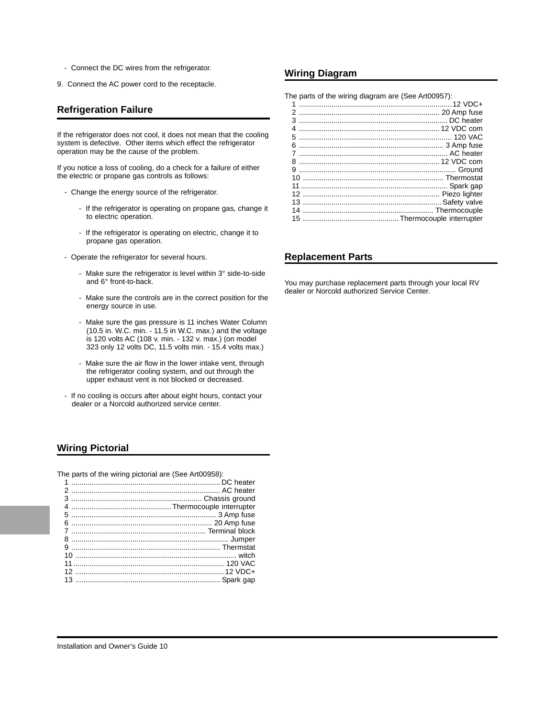- Connect the DC wires from the refrigerator.
- 9. Connect the AC power cord to the receptacle.

### **Refrigeration Failure**

If the refrigerator does not cool, it does not mean that the cooling system is defective. Other items which effect the refrigerator operation may be the cause of the problem.

If you notice a loss of cooling, do a check for a failure of either the electric or propane gas controls as follows:

- Change the energy source of the refrigerator.
	- If the refrigerator is operating on propane gas, change it to electric operation.
	- If the refrigerator is operating on electric, change it to propane gas operation.
- Operate the refrigerator for several hours.
	- Make sure the refrigerator is level within 3° side-to-side and 6° front-to-back.
	- Make sure the controls are in the correct position for the energy source in use.
	- Make sure the gas pressure is 11 inches Water Column (10.5 in. W.C. min. - 11.5 in W.C. max.) and the voltage is 120 volts AC (108 v. min. - 132 v. max.) (on model 323 only 12 volts DC, 11.5 volts min. - 15.4 volts max.)
	- Make sure the air flow in the lower intake vent, through the refrigerator cooling system, and out through the upper exhaust vent is not blocked or decreased.
- If no cooling is occurs after about eight hours, contact your dealer or a Norcold authorized service center.

## **Wiring Pictorial**

The parts of the wiring pictorial are (See Art00958):

### **Wiring Diagram**

The parts of the wiring diagram are (See Art00957):

## **Replacement Parts**

You may purchase replacement parts through your local RV dealer or Norcold authorized Service Center.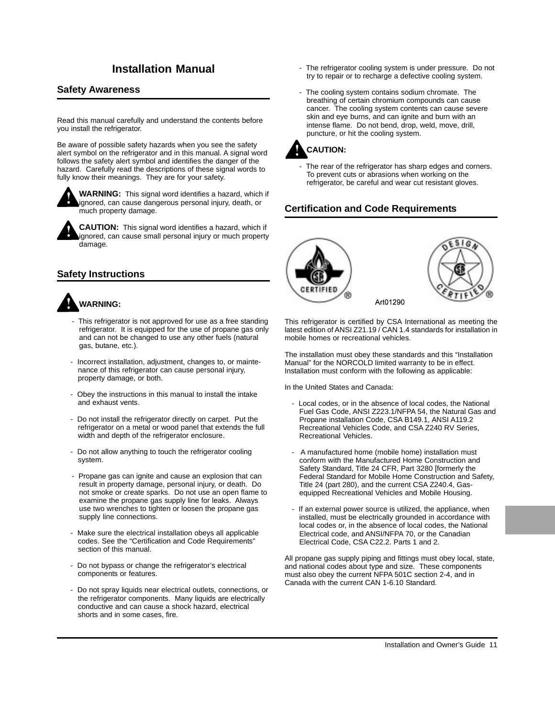## **Safety Awareness**

Read this manual carefully and understand the contents before you install the refrigerator.

Be aware of possible safety hazards when you see the safety alert symbol on the refrigerator and in this manual. A signal word follows the safety alert symbol and identifies the danger of the hazard. Carefully read the descriptions of these signal words to fully know their meanings. They are for your safety.



**WARNING:** This signal word identifies a hazard, which if ignored, can cause dangerous personal injury, death, or much property damage.

**CAUTION:** This signal word identifies a hazard, which if ignored, can cause small personal injury or much property damage.

## **Safety Instructions**

## **WARNING:**

- This refrigerator is not approved for use as a free standing refrigerator. It is equipped for the use of propane gas only and can not be changed to use any other fuels (natural gas, butane, etc.).
- Incorrect installation, adjustment, changes to, or maintenance of this refrigerator can cause personal injury, property damage, or both.
- Obey the instructions in this manual to install the intake and exhaust vents.
- Do not install the refrigerator directly on carpet. Put the refrigerator on a metal or wood panel that extends the full width and depth of the refrigerator enclosure.
- Do not allow anything to touch the refrigerator cooling system.
- Propane gas can ignite and cause an explosion that can result in property damage, personal injury, or death. Do not smoke or create sparks. Do not use an open flame to examine the propane gas supply line for leaks. Always use two wrenches to tighten or loosen the propane gas supply line connections.
- Make sure the electrical installation obeys all applicable codes. See the "Certification and Code Requirements" section of this manual.
- Do not bypass or change the refrigerator's electrical components or features.
- Do not spray liquids near electrical outlets, connections, or the refrigerator components. Many liquids are electrically conductive and can cause a shock hazard, electrical shorts and in some cases, fire.
- **Installation Manual Installation Manual** The refrigerator cooling system is under pressure. Do not try to repair or to recharge a defective cooling system.
	- The cooling system contains sodium chromate. The breathing of certain chromium compounds can cause cancer. The cooling system contents can cause severe skin and eye burns, and can ignite and burn with an intense flame. Do not bend, drop, weld, move, drill, puncture, or hit the cooling system.



The rear of the refrigerator has sharp edges and corners. To prevent cuts or abrasions when working on the refrigerator, be careful and wear cut resistant gloves.

## **Certification and Code Requirements**



This refrigerator is certified by CSA International as meeting the latest edition of ANSI Z21.19 / CAN 1.4 standards for installation in mobile homes or recreational vehicles.

The installation must obey these standards and this "Installation Manual" for the NORCOLD limited warranty to be in effect. Installation must conform with the following as applicable:

In the United States and Canada:

- Local codes, or in the absence of local codes, the National Fuel Gas Code, ANSI Z223.1/NFPA 54, the Natural Gas and Propane installation Code, CSA B149.1, ANSI A119.2 Recreational Vehicles Code, and CSA Z240 RV Series, Recreational Vehicles.
- A manufactured home (mobile home) installation must conform with the Manufactured Home Construction and Safety Standard, Title 24 CFR, Part 3280 [formerly the Federal Standard for Mobile Home Construction and Safety, Title 24 (part 280), and the current CSA Z240.4, Gasequipped Recreational Vehicles and Mobile Housing.
- If an external power source is utilized, the appliance, when installed, must be electrically grounded in accordance with local codes or, in the absence of local codes, the National Electrical code, and ANSI/NFPA 70, or the Canadian Electrical Code, CSA C22.2. Parts 1 and 2.

All propane gas supply piping and fittings must obey local, state, and national codes about type and size. These components must also obey the current NFPA 501C section 2-4, and in Canada with the current CAN 1-6.10 Standard.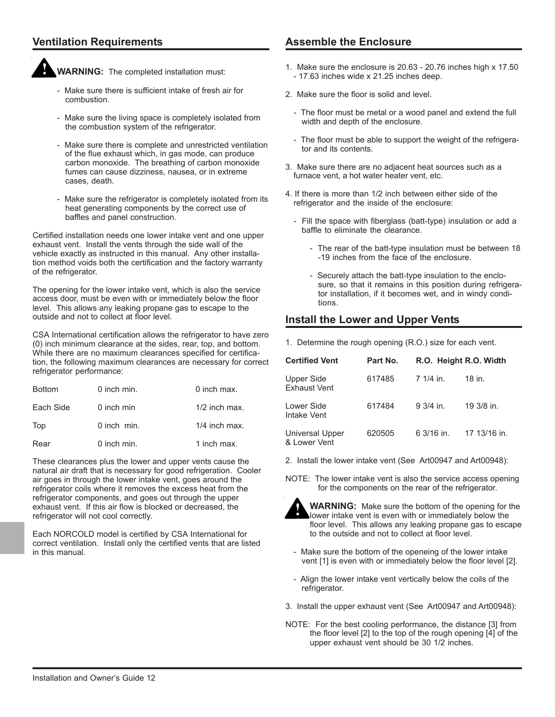## **Ventilation Requirements**



**WARNING:** The completed installation must:

- Make sure there is sufficient intake of fresh air for combustion.
- Make sure the living space is completely isolated from the combustion system of the refrigerator.
- Make sure there is complete and unrestricted ventilation of the flue exhaust which, in gas mode, can produce carbon monoxide. The breathing of carbon monoxide fumes can cause dizziness, nausea, or in extreme cases, death.
- Make sure the refrigerator is completely isolated from its heat generating components by the correct use of baffles and panel construction.

Certified installation needs one lower intake vent and one upper exhaust vent. Install the vents through the side wall of the vehicle exactly as instructed in this manual. Any other installation method voids both the certification and the factory warranty of the refrigerator.

The opening for the lower intake vent, which is also the service access door, must be even with or immediately below the floor level. This allows any leaking propane gas to escape to the outside and not to collect at floor level.

CSA International certification allows the refrigerator to have zero (0) inch minimum clearance at the sides, rear, top, and bottom. While there are no maximum clearances specified for certification, the following maximum clearances are necessary for correct refrigerator performance:

| <b>Bottom</b> | 0 inch min. | 0 inch max.     |
|---------------|-------------|-----------------|
| Each Side     | 0 inch min  | $1/2$ inch max. |
| Top           | 0 inch min. | $1/4$ inch max. |
| Rear          | 0 inch min. | 1 inch max.     |

These clearances plus the lower and upper vents cause the natural air draft that is necessary for good refrigeration. Cooler air goes in through the lower intake vent, goes around the refrigerator coils where it removes the excess heat from the refrigerator components, and goes out through the upper exhaust vent. If this air flow is blocked or decreased, the refrigerator will not cool correctly.

Each NORCOLD model is certified by CSA International for correct ventilation. Install only the certified vents that are listed in this manual.

## **Assemble the Enclosure**

- 1. Make sure the enclosure is 20.63 20.76 inches high x 17.50 - 17.63 inches wide x 21.25 inches deep.
- 2. Make sure the floor is solid and level.
	- The floor must be metal or a wood panel and extend the full width and depth of the enclosure.
	- The floor must be able to support the weight of the refrigerator and its contents.
- 3. Make sure there are no adjacent heat sources such as a furnace vent, a hot water heater vent, etc.
- 4. If there is more than 1/2 inch between either side of the refrigerator and the inside of the enclosure:
	- Fill the space with fiberglass (batt-type) insulation or add a baffle to eliminate the clearance.
		- The rear of the batt-type insulation must be between 18 -19 inches from the face of the enclosure.
		- Securely attach the batt-type insulation to the enclosure, so that it remains in this position during refrigerator installation, if it becomes wet, and in windy conditions.

## **Install the Lower and Upper Vents**

1. Determine the rough opening (R.O.) size for each vent.

| <b>Certified Vent</b>             | Part No. | R.O. Height R.O. Width |              |
|-----------------------------------|----------|------------------------|--------------|
| Upper Side<br><b>Exhaust Vent</b> | 617485   | 7 1/4 in.              | 18 in.       |
| Lower Side<br>Intake Vent         | 617484   | $9.3/4$ in.            | 19 3/8 in.   |
| Universal Upper<br>& Lower Vent   | 620505   | 6 3/16 in.             | 17 13/16 in. |

- 2. Install the lower intake vent (See Art00947 and Art00948):
- NOTE: The lower intake vent is also the service access opening for the components on the rear of the refrigerator.



**WARNING:** Make sure the bottom of the opening for the lower intake vent is even with or immediately below the floor level. This allows any leaking propane gas to escape to the outside and not to collect at floor level.

- Make sure the bottom of the openeing of the lower intake vent [1] is even with or immediately below the floor level [2].
- Align the lower intake vent vertically below the coils of the refrigerator.
- 3. Install the upper exhaust vent (See Art00947 and Art00948):
- NOTE: For the best cooling performance, the distance [3] from the floor level [2] to the top of the rough opening [4] of the upper exhaust vent should be 30 1/2 inches.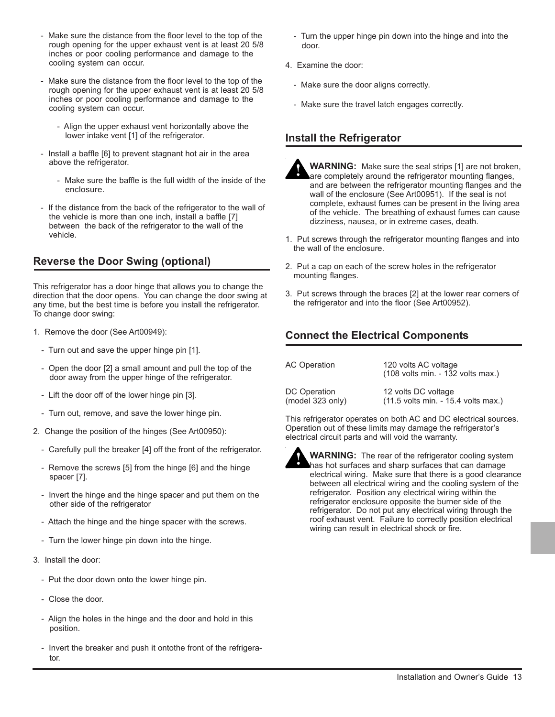- Make sure the distance from the floor level to the top of the rough opening for the upper exhaust vent is at least 20 5/8 inches or poor cooling performance and damage to the cooling system can occur.
- Make sure the distance from the floor level to the top of the rough opening for the upper exhaust vent is at least 20 5/8 inches or poor cooling performance and damage to the cooling system can occur.
	- Align the upper exhaust vent horizontally above the lower intake vent [1] of the refrigerator.
- Install a baffle [6] to prevent stagnant hot air in the area above the refrigerator.
	- Make sure the baffle is the full width of the inside of the enclosure.
- If the distance from the back of the refrigerator to the wall of the vehicle is more than one inch, install a baffle [7] between the back of the refrigerator to the wall of the vehicle.

## **Reverse the Door Swing (optional)**

This refrigerator has a door hinge that allows you to change the direction that the door opens. You can change the door swing at any time, but the best time is before you install the refrigerator. To change door swing:

- 1. Remove the door (See Art00949):
	- Turn out and save the upper hinge pin [1].
	- Open the door [2] a small amount and pull the top of the door away from the upper hinge of the refrigerator.
	- Lift the door off of the lower hinge pin [3].
	- Turn out, remove, and save the lower hinge pin.
- 2. Change the position of the hinges (See Art00950):
	- Carefully pull the breaker [4] off the front of the refrigerator.
	- Remove the screws [5] from the hinge [6] and the hinge spacer [7].
	- Invert the hinge and the hinge spacer and put them on the other side of the refrigerator
	- Attach the hinge and the hinge spacer with the screws.
	- Turn the lower hinge pin down into the hinge.
- 3. Install the door:
	- Put the door down onto the lower hinge pin.
	- Close the door.
	- Align the holes in the hinge and the door and hold in this position.
	- Invert the breaker and push it ontothe front of the refrigerator.
- Turn the upper hinge pin down into the hinge and into the door.
- 4. Examine the door:
	- Make sure the door aligns correctly.
	- Make sure the travel latch engages correctly.

## **Install the Refrigerator**

- **WARNING:** Make sure the seal strips [1] are not broken, are completely around the refrigerator mounting flanges, and are between the refrigerator mounting flanges and the wall of the enclosure (See Art00951). If the seal is not complete, exhaust fumes can be present in the living area of the vehicle. The breathing of exhaust fumes can cause dizziness, nausea, or in extreme cases, death.
- 1. Put screws through the refrigerator mounting flanges and into the wall of the enclosure.
- 2. Put a cap on each of the screw holes in the refrigerator mounting flanges.
- 3. Put screws through the braces [2] at the lower rear corners of the refrigerator and into the floor (See Art00952).

## **Connect the Electrical Components**

| <b>AC Operation</b> | 120 volts AC voltage<br>(108 volts min. - 132 volts max.) |
|---------------------|-----------------------------------------------------------|
| DC Operation        | 12 volts DC voltage                                       |
| (model 323 only)    | (11.5 volts min. - 15.4 volts max.)                       |

This refrigerator operates on both AC and DC electrical sources. Operation out of these limits may damage the refrigerator's electrical circuit parts and will void the warranty.



**WARNING:** The rear of the refrigerator cooling system has hot surfaces and sharp surfaces that can damage electrical wiring. Make sure that there is a good clearance between all electrical wiring and the cooling system of the refrigerator. Position any electrical wiring within the refrigerator enclosure opposite the burner side of the refrigerator. Do not put any electrical wiring through the roof exhaust vent. Failure to correctly position electrical wiring can result in electrical shock or fire.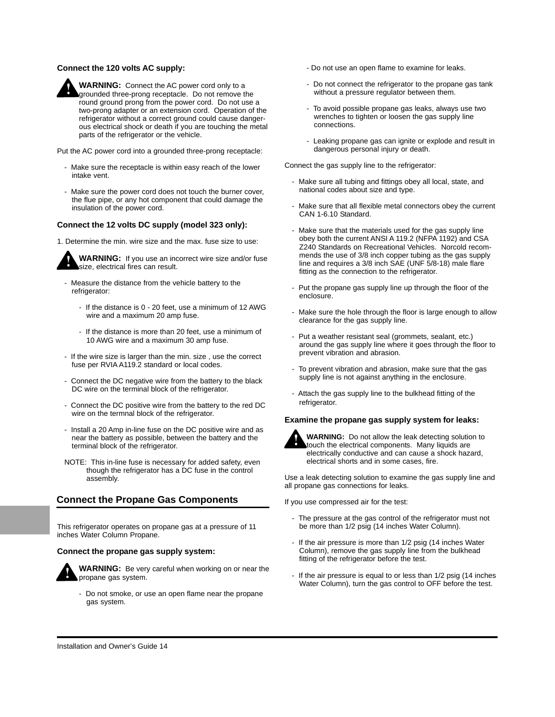#### **Connect the 120 volts AC supply:**



Put the AC power cord into a grounded three-prong receptacle:

- Make sure the receptacle is within easy reach of the lower intake vent.
- Make sure the power cord does not touch the burner cover. the flue pipe, or any hot component that could damage the insulation of the power cord.

#### **Connect the 12 volts DC supply (model 323 only):**

1. Determine the min. wire size and the max. fuse size to use:



**WARNING:** If you use an incorrect wire size and/or fuse size, electrical fires can result.

- Measure the distance from the vehicle battery to the refrigerator:
	- If the distance is 0 20 feet, use a minimum of 12 AWG wire and a maximum 20 amp fuse.
	- If the distance is more than 20 feet, use a minimum of 10 AWG wire and a maximum 30 amp fuse.
- If the wire size is larger than the min. size , use the correct fuse per RVIA A119.2 standard or local codes.
- Connect the DC negative wire from the battery to the black DC wire on the terminal block of the refrigerator.
- Connect the DC positive wire from the battery to the red DC wire on the termnal block of the refrigerator.
- Install a 20 Amp in-line fuse on the DC positive wire and as near the battery as possible, between the battery and the terminal block of the refrigerator.
- NOTE: This in-line fuse is necessary for added safety, even though the refrigerator has a DC fuse in the control assembly.

## **Connect the Propane Gas Components**

This refrigerator operates on propane gas at a pressure of 11 inches Water Column Propane.

#### **Connect the propane gas supply system:**



**WARNING:** Be very careful when working on or near the propane gas system.

- Do not smoke, or use an open flame near the propane gas system.

- Do not use an open flame to examine for leaks.
- Do not connect the refrigerator to the propane gas tank without a pressure regulator between them.
- To avoid possible propane gas leaks, always use two wrenches to tighten or loosen the gas supply line connections.
- Leaking propane gas can ignite or explode and result in dangerous personal injury or death.

Connect the gas supply line to the refrigerator:

- Make sure all tubing and fittings obey all local, state, and national codes about size and type.
- Make sure that all flexible metal connectors obey the current CAN 1-6.10 Standard.
- Make sure that the materials used for the gas supply line obey both the current ANSI A 119.2 (NFPA 1192) and CSA Z240 Standards on Recreational Vehicles. Norcold recommends the use of 3/8 inch copper tubing as the gas supply line and requires a 3/8 inch SAE (UNF 5/8-18) male flare fitting as the connection to the refrigerator.
- Put the propane gas supply line up through the floor of the enclosure.
- Make sure the hole through the floor is large enough to allow clearance for the gas supply line.
- Put a weather resistant seal (grommets, sealant, etc.) around the gas supply line where it goes through the floor to prevent vibration and abrasion.
- To prevent vibration and abrasion, make sure that the gas supply line is not against anything in the enclosure.
- Attach the gas supply line to the bulkhead fitting of the refrigerator.

#### **Examine the propane gas supply system for leaks:**



**WARNING:** Do not allow the leak detecting solution to touch the electrical components. Many liquids are electrically conductive and can cause a shock hazard, electrical shorts and in some cases, fire.

Use a leak detecting solution to examine the gas supply line and all propane gas connections for leaks.

If you use compressed air for the test:

- The pressure at the gas control of the refrigerator must not be more than 1/2 psig (14 inches Water Column).
- If the air pressure is more than 1/2 psig (14 inches Water Column), remove the gas supply line from the bulkhead fitting of the refrigerator before the test.
- If the air pressure is equal to or less than 1/2 psig (14 inches Water Column), turn the gas control to OFF before the test.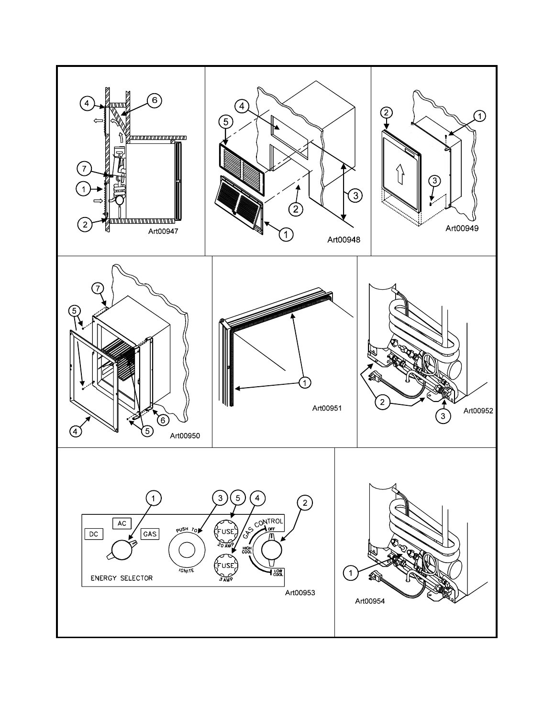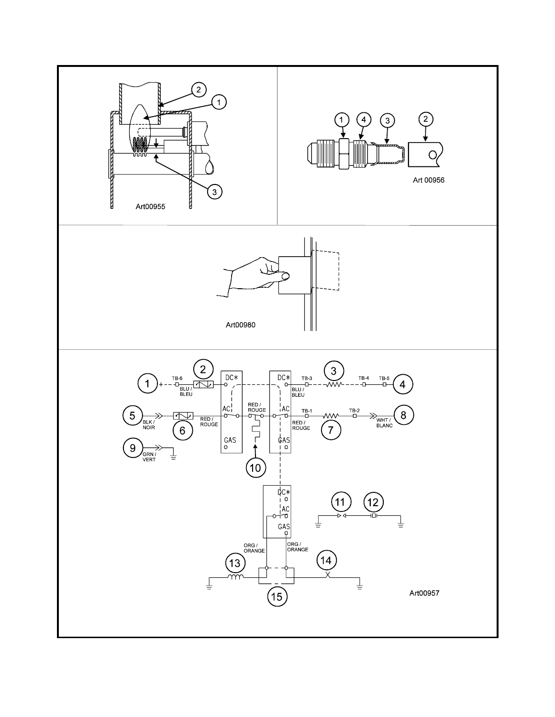